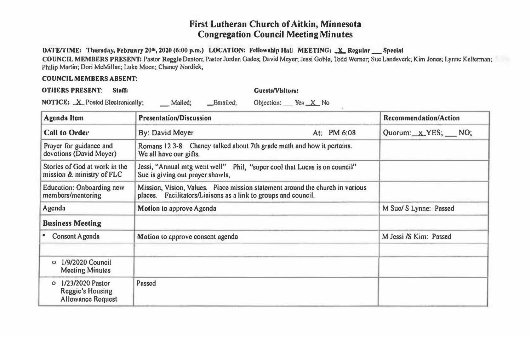## **First Lutheran Church of Aitkin, Minnesota Congregation Council Meeting Minutes**

## DATE/TIME: Thursday, February 20<sup>th</sup>, 2020 (6:00 p.m.) LOCATION: Fellowship Hall MEETING: X Regular Special

**COUNCIL MEMBERS PRESENT: Pastor Reggie Denton; Pastor Jordan Gades; David Meyer, Jessi Goble; Todd Werner, Sue Landsvcrk; Kim Jones; Lynne Kellcnnnn;**  Philip Martin; Dori McMillan; Luke Moen; Chancy Nordick;

## **COUNCIL MEMBERS ABSENT:**

|                                  | Agenda Item | <b>Presentation/Discussion</b> |          |                     | Recommendation/Action |
|----------------------------------|-------------|--------------------------------|----------|---------------------|-----------------------|
| NOTICE: X Posted Electronically; |             | Mailed:                        | Emailed: | Objection: Yes X No |                       |

| <b>Call to Order</b>                                                        | By: David Meyer                                                                                                                                 | At: PM 6:08 | Quorum: x YES; NO;     |
|-----------------------------------------------------------------------------|-------------------------------------------------------------------------------------------------------------------------------------------------|-------------|------------------------|
| Prayer for guidance and<br>devotions (David Meyer)                          | Romans 12 3-8 Chancy talked about 7th grade math and how it pertains.<br>We all have our gifts.                                                 |             |                        |
| Stories of God at work in the<br>mission & ministry of FLC                  | Jessi, "Annual mtg went well" Phil, "super cool that Lucas is on council"<br>Sue is giving out prayer shawls,                                   |             |                        |
| Education: Onboarding new<br>members/mentoring                              | Mission, Vision, Values. Place mission statement around the church in various<br>places. Facilitators/Liaisons as a link to groups and council. |             |                        |
| Agenda                                                                      | Motion to approve Agenda                                                                                                                        |             | M Suc/ S Lynne: Passed |
| <b>Business Meeting</b>                                                     |                                                                                                                                                 |             |                        |
| Consent Agenda                                                              | Motion to approve consent agenda                                                                                                                |             | M Jessi /S Kim: Passed |
| 1/9/2020 Council<br>$\circ$<br><b>Meeting Minutes</b>                       |                                                                                                                                                 |             |                        |
| 1/23/2020 Pastor<br>$\circ$<br>Reggie's Housing<br><b>Allowance Request</b> | Passed                                                                                                                                          |             |                        |
|                                                                             |                                                                                                                                                 |             |                        |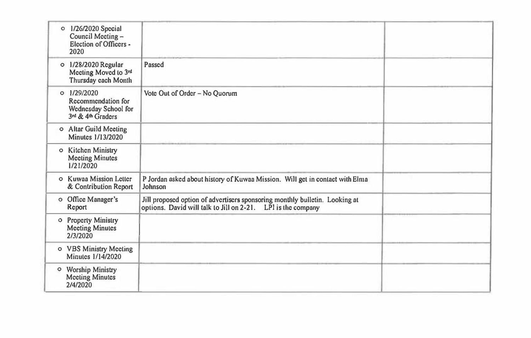| $\circ$ 1/26/2020 Special<br>Council Meeting -<br>Election of Officers -<br>2020   |                                                                                                                                             |  |
|------------------------------------------------------------------------------------|---------------------------------------------------------------------------------------------------------------------------------------------|--|
| o 1/28/2020 Regular<br>Meeting Moved to 3rd<br>Thursday cach Month                 | Passed                                                                                                                                      |  |
| $0$ $1/29/2020$<br>Recommendation for<br>Wednesday School for<br>3rd & 4th Graders | Vote Out of Order - No Ouorum                                                                                                               |  |
| o Altar Guild Meeting<br>Minutes 1/13/2020                                         |                                                                                                                                             |  |
| o Kitchen Ministry<br><b>Meeting Minutes</b><br>1/21/2020                          |                                                                                                                                             |  |
| o Kuwaa Mission Letter<br>& Contribution Report                                    | P Jordan asked about history of Kuwaa Mission. Will get in contact with Elma<br>Johnson                                                     |  |
| o Office Manager's<br>Report                                                       | Jill proposed option of advertisers sponsoring monthly bulletin. Looking at<br>options. David will talk to Jill on 2-21. LPI is the company |  |
| o Property Ministry<br><b>Meeting Minutes</b><br>2/3/2020                          |                                                                                                                                             |  |
| o VBS Ministry Meeting<br>Minutes 1/14/2020                                        |                                                                                                                                             |  |
| o Worship Ministry<br><b>Meeting Minutes</b><br>2/4/2020                           |                                                                                                                                             |  |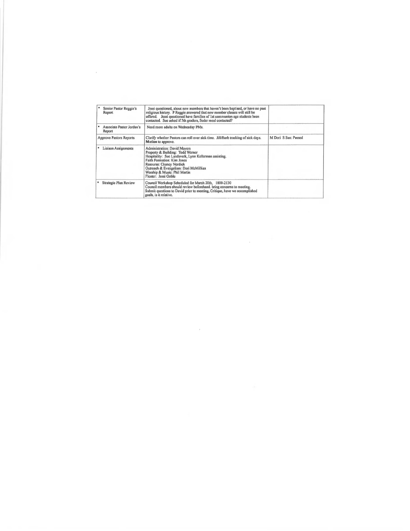| Senior Pastor Reggie's<br>Report    | Jessi questioned, about new members that haven't been baptised, or have no past<br>religious history. P Reggie answered that new member classes will still be<br>offered. Jessi questioned have families of 1st communion age students been<br>contacted. Sue asked if 5th graders, Seder meal contacted? |                      |
|-------------------------------------|-----------------------------------------------------------------------------------------------------------------------------------------------------------------------------------------------------------------------------------------------------------------------------------------------------------|----------------------|
| Associate Pastor Jordan's<br>Report | Need more adults on Wednesday PMs.                                                                                                                                                                                                                                                                        |                      |
| Approve Pastors Reports             | Clarify whether Pastors can roll over sick time. Jill/Barb tracking of sick days.<br>Motion to approve.                                                                                                                                                                                                   | M Dori S Suc: Passed |
| Liaison Assignments                 | <b>Administration: David Meyers</b><br>Property & Building: Todd Werner<br>Hospitality: Sue Landsverk, Lynn Kellerman assisting.<br><b>Faith Formation: Kim Jones</b><br>Resourse: Chancy Nordick<br>Outreach & Evangelism: Dori McMillian<br>Worship & Music: Phil Martin<br>Floater: Jessi Goble        |                      |
| Strategic Plan Review               | Council Workshop Scheduled for March 20th, 1800-2130<br>Council members should review beforehand, bring concerns to meeting.<br>Submit questions to David prior to meeting, Critique, have we accomplished<br>goals, is it relative.                                                                      |                      |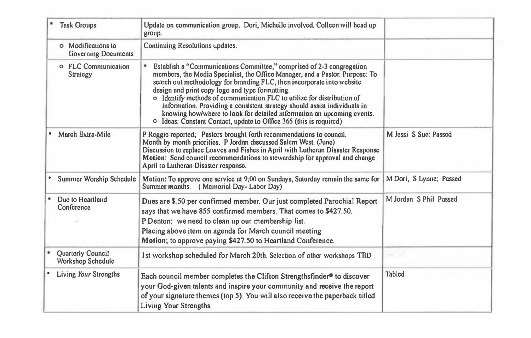| <b>Task Groups</b>                               | Update on communication group. Dori, Michelle involved. Colleen will head up<br>group.                                                                                                                                                                                                                                                                                                                                                                                                                                                                                                    |                         |
|--------------------------------------------------|-------------------------------------------------------------------------------------------------------------------------------------------------------------------------------------------------------------------------------------------------------------------------------------------------------------------------------------------------------------------------------------------------------------------------------------------------------------------------------------------------------------------------------------------------------------------------------------------|-------------------------|
| o Modifications to<br><b>Governing Documents</b> | Continuing Resolutions updates.                                                                                                                                                                                                                                                                                                                                                                                                                                                                                                                                                           |                         |
| o FLC Communication<br>Strategy                  | Establish a "Communications Committee," comprised of 2-3 congregation<br>members, the Media Specialist, the Office Manager, and a Pastor, Purpose: To<br>search out methodology for branding FLC, then incorporate into website<br>design and print copy logo and type formatting.<br>o Identify methods of communication FLC to utilize for distribution of<br>information. Providing a consistent strategy should assist individuals in<br>knowing how/where to look for detailed information on upcoming events.<br>o Ideas: Constant Contact, update to Office 365 (this is required) |                         |
| March Extra-Mile                                 | P Reggie reported; Pastors brought forth recommendations to council,<br>Month by month priorities. P Jordan discussed Salem West. (June)<br>Discussion to replace Loaves and Fishes in April with Lutheran Disaster Response<br>Motion: Send council recommendations to stewardship for approval and change<br>April to Lutheran Disaster response.                                                                                                                                                                                                                                       | M Jessi S Sue: Passed   |
| Summer Worship Schedule                          | Motion: To approve one service at 9;00 on Sundays, Saturday remain the same for<br>Summer months. (Memorial Day-Labor Day)                                                                                                                                                                                                                                                                                                                                                                                                                                                                | M Dori, S Lynne; Passed |
| Due to Heartland<br>Conference                   | Dues are \$.50 per confirmed member. Our just completed Parochial Report<br>says that we have 855 confirmed members. That comes to \$427.50.<br>P Denton: we need to clean up our membership list.<br>Placing above item on agenda for March council meeting<br>Motion; to approve paying \$427.50 to Heartland Conference.                                                                                                                                                                                                                                                               | M Jordan S Phil Passed  |
| Quarterly Council<br>Workshop Schedule           | 1st workshop scheduled for March 20th. Selection of other workshops TBD                                                                                                                                                                                                                                                                                                                                                                                                                                                                                                                   | Del 19                  |
| Living Your Strengths                            | Each council member completes the Clifton Strengthsfinder <sup>®</sup> to discover<br>your God-given talents and inspire your community and receive the report<br>of your signature themes (top 5). You will also receive the paperback titled<br>Living Your Strengths.                                                                                                                                                                                                                                                                                                                  | Tabled                  |